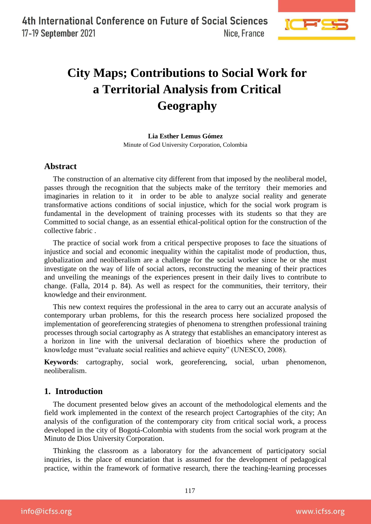

# **City Maps; Contributions to Social Work for a Territorial Analysis from Critical Geography**

**Lia Esther Lemus Gómez** Minute of God University Corporation, Colombia

### **Abstract**

The construction of an alternative city different from that imposed by the neoliberal model, passes through the recognition that the subjects make of the territory their memories and imaginaries in relation to it in order to be able to analyze social reality and generate transformative actions conditions of social injustice, which for the social work program is fundamental in the development of training processes with its students so that they are Committed to social change, as an essential ethical-political option for the construction of the collective fabric .

The practice of social work from a critical perspective proposes to face the situations of injustice and social and economic inequality within the capitalist mode of production, thus, globalization and neoliberalism are a challenge for the social worker since he or she must investigate on the way of life of social actors, reconstructing the meaning of their practices and unveiling the meanings of the experiences present in their daily lives to contribute to change. (Falla, 2014 p. 84). As well as respect for the communities, their territory, their knowledge and their environment.

This new context requires the professional in the area to carry out an accurate analysis of contemporary urban problems, for this the research process here socialized proposed the implementation of georeferencing strategies of phenomena to strengthen professional training processes through social cartography as A strategy that establishes an emancipatory interest as a horizon in line with the universal declaration of bioethics where the production of knowledge must "evaluate social realities and achieve equity" (UNESCO, 2008).

**Keywords**: cartography, social work, georeferencing, social, urban phenomenon, neoliberalism.

## **1. Introduction**

The document presented below gives an account of the methodological elements and the field work implemented in the context of the research project Cartographies of the city; An analysis of the configuration of the contemporary city from critical social work, a process developed in the city of Bogotá-Colombia with students from the social work program at the Minuto de Dios University Corporation.

Thinking the classroom as a laboratory for the advancement of participatory social inquiries, is the place of enunciation that is assumed for the development of pedagogical practice, within the framework of formative research, there the teaching-learning processes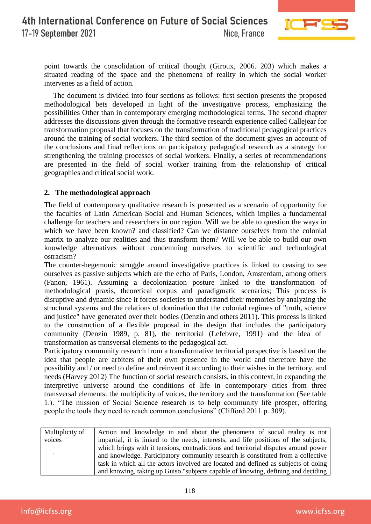

point towards the consolidation of critical thought (Giroux, 2006. 203) which makes a situated reading of the space and the phenomena of reality in which the social worker intervenes as a field of action.

The document is divided into four sections as follows: first section presents the proposed methodological bets developed in light of the investigative process, emphasizing the possibilities Other than in contemporary emerging methodological terms. The second chapter addresses the discussions given through the formative research experience called Callejear for transformation proposal that focuses on the transformation of traditional pedagogical practices around the training of social workers. The third section of the document gives an account of the conclusions and final reflections on participatory pedagogical research as a strategy for strengthening the training processes of social workers. Finally, a series of recommendations are presented in the field of social worker training from the relationship of critical geographies and critical social work.

#### **2. The methodological approach**

The field of contemporary qualitative research is presented as a scenario of opportunity for the faculties of Latin American Social and Human Sciences, which implies a fundamental challenge for teachers and researchers in our region. Will we be able to question the ways in which we have been known? and classified? Can we distance ourselves from the colonial matrix to analyze our realities and thus transform them? Will we be able to build our own knowledge alternatives without condemning ourselves to scientific and technological ostracism?

The counter-hegemonic struggle around investigative practices is linked to ceasing to see ourselves as passive subjects which are the echo of Paris, London, Amsterdam, among others (Fanon, 1961). Assuming a decolonization posture linked to the transformation of methodological praxis, theoretical corpus and paradigmatic scenarios; This process is disruptive and dynamic since it forces societies to understand their memories by analyzing the structural systems and the relations of domination that the colonial regimes of "truth, science and justice" have generated over their bodies (Denzin and others 2011). This process is linked to the construction of a flexible proposal in the design that includes the participatory community (Denzin 1989, p. 81), the territorial (Lefebvre, 1991) and the idea of transformation as transversal elements to the pedagogical act.

Participatory community research from a transformative territorial perspective is based on the idea that people are arbiters of their own presence in the world and therefore have the possibility and / or need to define and reinvent it according to their wishes in the territory. and needs (Harvey 2012) The function of social research consists, in this context, in expanding the interpretive universe around the conditions of life in contemporary cities from three transversal elements: the multiplicity of voices, the territory and the transformation (See table 1.). "The mission of Social Science research is to help community life prosper, offering people the tools they need to reach common conclusions" (Clifford 2011 p. 309).

| Multiplicity of | Action and knowledge in and about the phenomena of social reality is not             |
|-----------------|--------------------------------------------------------------------------------------|
| voices          | impartial, it is linked to the needs, interests, and life positions of the subjects, |
|                 | which brings with it tensions, contradictions and territorial disputes around power  |
|                 | and knowledge. Participatory community research is constituted from a collective     |
|                 | task in which all the actors involved are located and defined as subjects of doing   |
|                 | and knowing, taking up Guiso "subjects capable of knowing, defining and deciding     |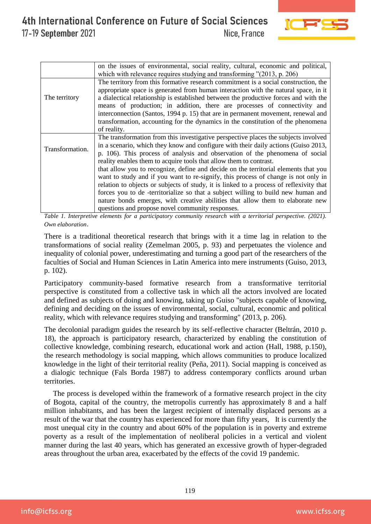

|                 | on the issues of environmental, social reality, cultural, economic and political,<br>which with relevance requires studying and transforming $"(2013, p. 206)$                                                                                                                                                                                                                                                                                                                                                                                                                                                                                                                                                                                                                                                                     |
|-----------------|------------------------------------------------------------------------------------------------------------------------------------------------------------------------------------------------------------------------------------------------------------------------------------------------------------------------------------------------------------------------------------------------------------------------------------------------------------------------------------------------------------------------------------------------------------------------------------------------------------------------------------------------------------------------------------------------------------------------------------------------------------------------------------------------------------------------------------|
| The territory   | The territory from this formative research commitment is a social construction, the<br>appropriate space is generated from human interaction with the natural space, in it<br>a dialectical relationship is established between the productive forces and with the<br>means of production; in addition, there are processes of connectivity and<br>interconnection (Santos, 1994 p. 15) that are in permanent movement, renewal and<br>transformation, accounting for the dynamics in the constitution of the phenomena<br>of reality.                                                                                                                                                                                                                                                                                             |
| Transformation. | The transformation from this investigative perspective places the subjects involved<br>in a scenario, which they know and configure with their daily actions (Guiso 2013,<br>p. 106). This process of analysis and observation of the phenomena of social<br>reality enables them to acquire tools that allow them to contrast.<br>that allow you to recognize, define and decide on the territorial elements that you<br>want to study and if you want to re-signify, this process of change is not only in<br>relation to objects or subjects of study, it is linked to a process of reflexivity that<br>forces you to de -territorialize so that a subject willing to build new human and<br>nature bonds emerges, with creative abilities that allow them to elaborate new<br>questions and propose novel community responses. |

*Table 1. Interpretive elements for a participatory community research with a territorial perspective. (2021). Own elaboration*.

There is a traditional theoretical research that brings with it a time lag in relation to the transformations of social reality (Zemelman 2005, p. 93) and perpetuates the violence and inequality of colonial power, underestimating and turning a good part of the researchers of the faculties of Social and Human Sciences in Latin America into mere instruments (Guiso, 2013, p. 102).

Participatory community-based formative research from a transformative territorial perspective is constituted from a collective task in which all the actors involved are located and defined as subjects of doing and knowing, taking up Guiso "subjects capable of knowing, defining and deciding on the issues of environmental, social, cultural, economic and political reality, which with relevance requires studying and transforming" (2013, p. 206).

The decolonial paradigm guides the research by its self-reflective character (Beltrán, 2010 p. 18), the approach is participatory research, characterized by enabling the constitution of collective knowledge, combining research, educational work and action (Hall, 1988, p.150), the research methodology is social mapping, which allows communities to produce localized knowledge in the light of their territorial reality (Peña, 2011). Social mapping is conceived as a dialogic technique (Fals Borda 1987) to address contemporary conflicts around urban territories.

The process is developed within the framework of a formative research project in the city of Bogota, capital of the country, the metropolis currently has approximately 8 and a half million inhabitants, and has been the largest recipient of internally displaced persons as a result of the war that the country has experienced for more than fifty years, It is currently the most unequal city in the country and about 60% of the population is in poverty and extreme poverty as a result of the implementation of neoliberal policies in a vertical and violent manner during the last 40 years, which has generated an excessive growth of hyper-degraded areas throughout the urban area, exacerbated by the effects of the covid 19 pandemic.

info@icfss.org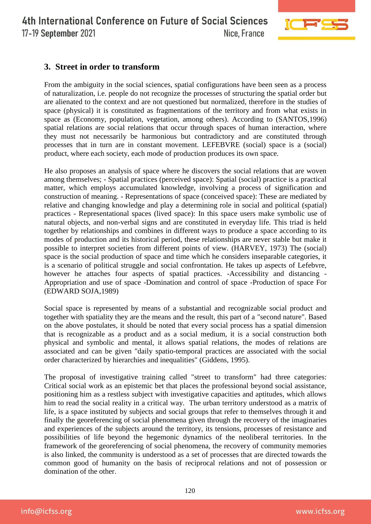

# **3. Street in order to transform**

From the ambiguity in the social sciences, spatial configurations have been seen as a process of naturalization, i.e. people do not recognize the processes of structuring the spatial order but are alienated to the context and are not questioned but normalized, therefore in the studies of space (physical) it is constituted as fragmentations of the territory and from what exists in space as (Economy, population, vegetation, among others). According to (SANTOS,1996) spatial relations are social relations that occur through spaces of human interaction, where they must not necessarily be harmonious but contradictory and are constituted through processes that in turn are in constant movement. LEFEBVRE (social) space is a (social) product, where each society, each mode of production produces its own space.

He also proposes an analysis of space where he discovers the social relations that are woven among themselves; - Spatial practices (perceived space): Spatial (social) practice is a practical matter, which employs accumulated knowledge, involving a process of signification and construction of meaning. - Representations of space (conceived space): These are mediated by relative and changing knowledge and play a determining role in social and political (spatial) practices - Representational spaces (lived space): In this space users make symbolic use of natural objects, and non-verbal signs and are constituted in everyday life. This triad is held together by relationships and combines in different ways to produce a space according to its modes of production and its historical period, these relationships are never stable but make it possible to interpret societies from different points of view. (HARVEY, 1973) The (social) space is the social production of space and time which he considers inseparable categories, it is a scenario of political struggle and social confrontation. He takes up aspects of Lefebvre, however he attaches four aspects of spatial practices. -Accessibility and distancing - Appropriation and use of space -Domination and control of space -Production of space For (EDWARD SOJA,1989)

Social space is represented by means of a substantial and recognizable social product and together with spatiality they are the means and the result, this part of a "second nature". Based on the above postulates, it should be noted that every social process has a spatial dimension that is recognizable as a product and as a social medium, it is a social construction both physical and symbolic and mental, it allows spatial relations, the modes of relations are associated and can be given "daily spatio-temporal practices are associated with the social order characterized by hierarchies and inequalities" (Giddens, 1995).

The proposal of investigative training called "street to transform" had three categories: Critical social work as an epistemic bet that places the professional beyond social assistance, positioning him as a restless subject with investigative capacities and aptitudes, which allows him to read the social reality in a critical way. The urban territory understood as a matrix of life, is a space instituted by subjects and social groups that refer to themselves through it and finally the georeferencing of social phenomena given through the recovery of the imaginaries and experiences of the subjects around the territory, its tensions, processes of resistance and possibilities of life beyond the hegemonic dynamics of the neoliberal territories. In the framework of the georeferencing of social phenomena, the recovery of community memories is also linked, the community is understood as a set of processes that are directed towards the common good of humanity on the basis of reciprocal relations and not of possession or domination of the other.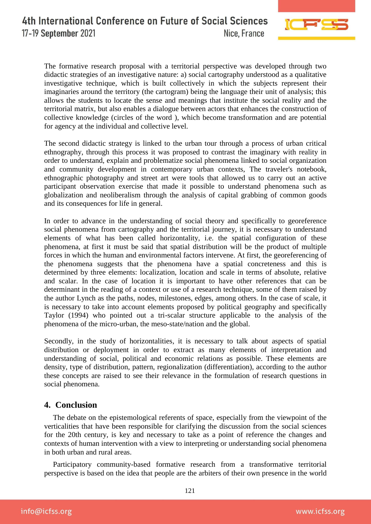

The formative research proposal with a territorial perspective was developed through two didactic strategies of an investigative nature: a) social cartography understood as a qualitative investigative technique, which is built collectively in which the subjects represent their imaginaries around the territory (the cartogram) being the language their unit of analysis; this allows the students to locate the sense and meanings that institute the social reality and the territorial matrix, but also enables a dialogue between actors that enhances the construction of collective knowledge (circles of the word ), which become transformation and are potential for agency at the individual and collective level.

The second didactic strategy is linked to the urban tour through a process of urban critical ethnography, through this process it was proposed to contrast the imaginary with reality in order to understand, explain and problematize social phenomena linked to social organization and community development in contemporary urban contexts, The traveler's notebook, ethnographic photography and street art were tools that allowed us to carry out an active participant observation exercise that made it possible to understand phenomena such as globalization and neoliberalism through the analysis of capital grabbing of common goods and its consequences for life in general.

In order to advance in the understanding of social theory and specifically to georeference social phenomena from cartography and the territorial journey, it is necessary to understand elements of what has been called horizontality, i.e. the spatial configuration of these phenomena, at first it must be said that spatial distribution will be the product of multiple forces in which the human and environmental factors intervene. At first, the georeferencing of the phenomena suggests that the phenomena have a spatial concreteness and this is determined by three elements: localization, location and scale in terms of absolute, relative and scalar. In the case of location it is important to have other references that can be determinant in the reading of a context or use of a research technique, some of them raised by the author Lynch as the paths, nodes, milestones, edges, among others. In the case of scale, it is necessary to take into account elements proposed by political geography and specifically Taylor (1994) who pointed out a tri-scalar structure applicable to the analysis of the phenomena of the micro-urban, the meso-state/nation and the global.

Secondly, in the study of horizontalities, it is necessary to talk about aspects of spatial distribution or deployment in order to extract as many elements of interpretation and understanding of social, political and economic relations as possible. These elements are density, type of distribution, pattern, regionalization (differentiation), according to the author these concepts are raised to see their relevance in the formulation of research questions in social phenomena.

## **4. Conclusion**

The debate on the epistemological referents of space, especially from the viewpoint of the verticalities that have been responsible for clarifying the discussion from the social sciences for the 20th century, is key and necessary to take as a point of reference the changes and contexts of human intervention with a view to interpreting or understanding social phenomena in both urban and rural areas.

Participatory community-based formative research from a transformative territorial perspective is based on the idea that people are the arbiters of their own presence in the world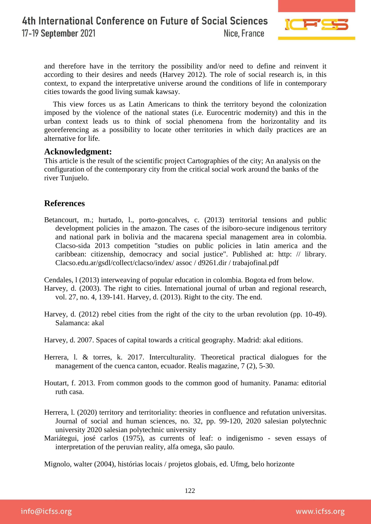

and therefore have in the territory the possibility and/or need to define and reinvent it according to their desires and needs (Harvey 2012). The role of social research is, in this context, to expand the interpretative universe around the conditions of life in contemporary cities towards the good living sumak kawsay.

This view forces us as Latin Americans to think the territory beyond the colonization imposed by the violence of the national states (i.e. Eurocentric modernity) and this in the urban context leads us to think of social phenomena from the horizontality and its georeferencing as a possibility to locate other territories in which daily practices are an alternative for life.

### **Acknowledgment:**

This article is the result of the scientific project Cartographies of the city; An analysis on the configuration of the contemporary city from the critical social work around the banks of the river Tunjuelo.

# **References**

Betancourt, m.; hurtado, l., porto-goncalves, c. (2013) territorial tensions and public development policies in the amazon. The cases of the isiboro-secure indigenous territory and national park in bolivia and the macarena special management area in colombia. Clacso-sida 2013 competition "studies on public policies in latin america and the caribbean: citizenship, democracy and social justice". Published at: http: // library. Clacso.edu.ar/gsdl/collect/clacso/index/ assoc / d9261.dir / trabajofinal.pdf

Cendales, l (2013) interweaving of popular education in colombia. Bogota ed from below.

- Harvey, d. (2003). The right to cities. International journal of urban and regional research, vol. 27, no. 4, 139-141. Harvey, d. (2013). Right to the city. The end.
- Harvey, d. (2012) rebel cities from the right of the city to the urban revolution (pp. 10-49). Salamanca: akal
- Harvey, d. 2007. Spaces of capital towards a critical geography. Madrid: akal editions.
- Herrera, l. & torres, k. 2017. Interculturality. Theoretical practical dialogues for the management of the cuenca canton, ecuador. Realis magazine, 7 (2), 5-30.
- Houtart, f. 2013. From common goods to the common good of humanity. Panama: editorial ruth casa.
- Herrera, l. (2020) territory and territoriality: theories in confluence and refutation universitas. Journal of social and human sciences, no. 32, pp. 99-120, 2020 salesian polytechnic university 2020 salesian polytechnic university
- Mariátegui, josé carlos (1975), as currents of leaf: o indigenismo seven essays of interpretation of the peruvian reality, alfa omega, são paulo.

Mignolo, walter (2004), histórias locais / projetos globais, ed. Ufmg, belo horizonte